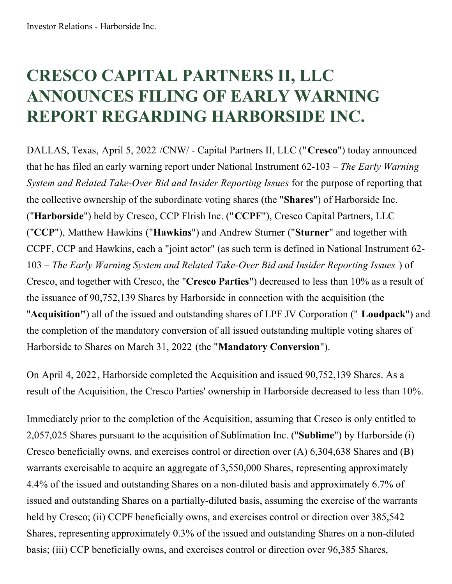## **CRESCO CAPITAL PARTNERS II, LLC ANNOUNCES FILING OF EARLY WARNING REPORT REGARDING HARBORSIDE INC.**

DALLAS, Texas, April 5, 2022 /CNW/ - Capital Partners II, LLC ("**Cresco**") today announced that he has filed an early warning report under National Instrument 62-103 – *The Early Warning System and Related Take-Over Bid and Insider Reporting Issues* for the purpose of reporting that the collective ownership of the subordinate voting shares (the "**Shares**") of Harborside Inc. ("**Harborside**") held by Cresco, CCP Flrish Inc. ("**CCPF**"), Cresco Capital Partners, LLC ("**CCP**"), Matthew Hawkins ("**Hawkins**") and Andrew Sturner ("**Sturner**" and together with CCPF, CCP and Hawkins, each a "joint actor" (as such term is defined in National Instrument 62- 103 – *The Early Warning System and Related Take-Over Bid and Insider Reporting Issues* ) of Cresco, and together with Cresco, the "**Cresco Parties**") decreased to less than 10% as a result of the issuance of 90,752,139 Shares by Harborside in connection with the acquisition (the "**Acquisition"**) all of the issued and outstanding shares of LPF JV Corporation (" **Loudpack**") and the completion of the mandatory conversion of all issued outstanding multiple voting shares of Harborside to Shares on March 31, 2022 (the "**Mandatory Conversion**").

On April 4, 2022, Harborside completed the Acquisition and issued 90,752,139 Shares. As a result of the Acquisition, the Cresco Parties' ownership in Harborside decreased to less than 10%.

Immediately prior to the completion of the Acquisition, assuming that Cresco is only entitled to 2,057,025 Shares pursuant to the acquisition of Sublimation Inc. ("**Sublime**") by Harborside (i) Cresco beneficially owns, and exercises control or direction over (A) 6,304,638 Shares and (B) warrants exercisable to acquire an aggregate of 3,550,000 Shares, representing approximately 4.4% of the issued and outstanding Shares on a non-diluted basis and approximately 6.7% of issued and outstanding Shares on a partially-diluted basis, assuming the exercise of the warrants held by Cresco; (ii) CCPF beneficially owns, and exercises control or direction over 385,542 Shares, representing approximately 0.3% of the issued and outstanding Shares on a non-diluted basis; (iii) CCP beneficially owns, and exercises control or direction over 96,385 Shares,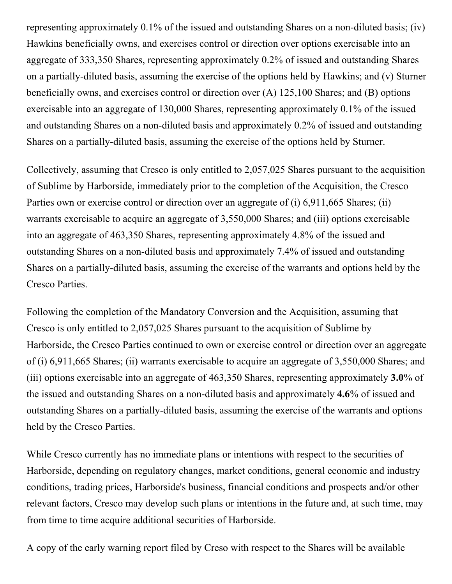representing approximately 0.1% of the issued and outstanding Shares on a non-diluted basis; (iv) Hawkins beneficially owns, and exercises control or direction over options exercisable into an aggregate of 333,350 Shares, representing approximately 0.2% of issued and outstanding Shares on a partially-diluted basis, assuming the exercise of the options held by Hawkins; and (v) Sturner beneficially owns, and exercises control or direction over (A) 125,100 Shares; and (B) options exercisable into an aggregate of 130,000 Shares, representing approximately 0.1% of the issued and outstanding Shares on a non-diluted basis and approximately 0.2% of issued and outstanding Shares on a partially-diluted basis, assuming the exercise of the options held by Sturner.

Collectively, assuming that Cresco is only entitled to 2,057,025 Shares pursuant to the acquisition of Sublime by Harborside, immediately prior to the completion of the Acquisition, the Cresco Parties own or exercise control or direction over an aggregate of (i) 6,911,665 Shares; (ii) warrants exercisable to acquire an aggregate of 3,550,000 Shares; and (iii) options exercisable into an aggregate of 463,350 Shares, representing approximately 4.8% of the issued and outstanding Shares on a non-diluted basis and approximately 7.4% of issued and outstanding Shares on a partially-diluted basis, assuming the exercise of the warrants and options held by the Cresco Parties.

Following the completion of the Mandatory Conversion and the Acquisition, assuming that Cresco is only entitled to 2,057,025 Shares pursuant to the acquisition of Sublime by Harborside, the Cresco Parties continued to own or exercise control or direction over an aggregate of (i) 6,911,665 Shares; (ii) warrants exercisable to acquire an aggregate of 3,550,000 Shares; and (iii) options exercisable into an aggregate of 463,350 Shares, representing approximately **3.0**% of the issued and outstanding Shares on a non-diluted basis and approximately **4.6**% of issued and outstanding Shares on a partially-diluted basis, assuming the exercise of the warrants and options held by the Cresco Parties.

While Cresco currently has no immediate plans or intentions with respect to the securities of Harborside, depending on regulatory changes, market conditions, general economic and industry conditions, trading prices, Harborside's business, financial conditions and prospects and/or other relevant factors, Cresco may develop such plans or intentions in the future and, at such time, may from time to time acquire additional securities of Harborside.

A copy of the early warning report filed by Creso with respect to the Shares will be available